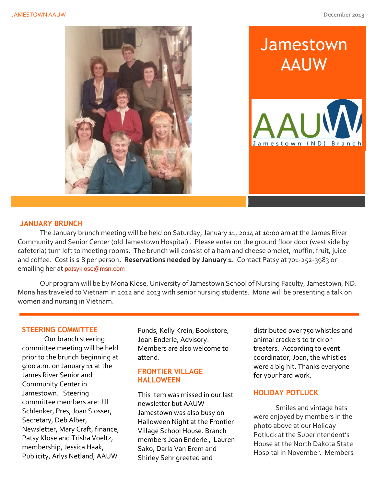

## **JANUARY BRUNCH**

The January brunch meeting will be held on Saturday, January 11, 2014 at 10:00 am at the James River Community and Senior Center (old Jamestown Hospital) . Please enter on the ground floor door (west side by cafeteria) turn left to meeting rooms. The brunch will consist of a ham and cheese omelet, muffin, fruit, juice and coffee. Cost is \$ 8 per person. Reservations needed by January 1. Contact Patsy at 701-252-3983 or emailing her at [patsyklose@msn.com](mailto:patsyklose@msn.com)

Our program will be by Mona Klose, University of Jamestown School of Nursing Faculty, Jamestown, ND. Mona has traveled to Vietnam in 2012 and 2013 with senior nursing students. Mona will be presenting a talk on women and nursing in Vietnam.

## **STEERING COMMITTEE**

Our branch steering committee meeting will be held prior to the brunch beginning at 9:00 a.m. on January 11 at the James River Senior and Community Center in Jamestown. Steering committee members are: Jill Schlenker, Pres, Joan Slosser, Secretary, Deb Alber, Newsletter, Mary Craft, finance, Patsy Klose and Trisha Voeltz, membership, Jessica Haak, Publicity, Arlys Netland, AAUW

Funds, Kelly Krein, Bookstore, Joan Enderle, Advisory. Members are also welcome to attend.

#### **FRONTIER VILLAGE HALLOWEEN**

This item was missed in our last newsletter but AAUW Jamestown was also busy on Halloween Night at the Frontier Village School House. Branch members Joan Enderle , Lauren Sako, Darla Van Erem and Shirley Sehr greeted and

distributed over 750 whistles and animal crackers to trick or treaters. According to event coordinator, Joan, the whistles were a big hit. Thanks everyone for your hard work.

# **HOLIDAY POTLUCK**

Smiles and vintage hats were enjoyed by members in the photo above at our Holiday Potluck at the Superintendent's House at the North Dakota State Hospital in November. Members